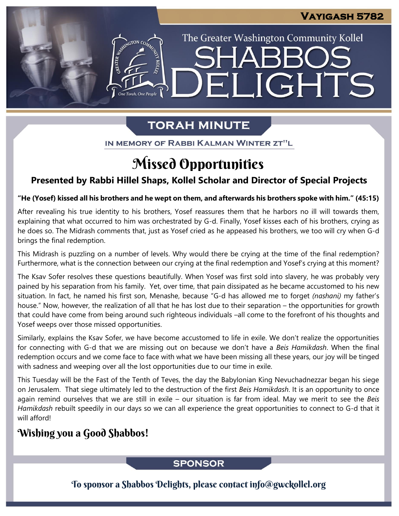The Greater Washington Community Kollel

LIGHTS

# **TORAH MINUTE**

EI

ASSIMIGTON CO

IN MEMORY OF RABBI KALMAN WINTER ZT"L

# Missed Opportunities

## **Presented by Rabbi Hillel Shaps, Kollel Scholar and Director of Special Projects**

#### **"He (Yosef) kissed all his brothers and he wept on them, and afterwards his brothers spoke with him." (45:15)**

After revealing his true identity to his brothers, Yosef reassures them that he harbors no ill will towards them, explaining that what occurred to him was orchestrated by G-d. Finally, Yosef kisses each of his brothers, crying as he does so. The Midrash comments that, just as Yosef cried as he appeased his brothers, we too will cry when G-d brings the final redemption.

This Midrash is puzzling on a number of levels. Why would there be crying at the time of the final redemption? Furthermore, what is the connection between our crying at the final redemption and Yosef's crying at this moment?

The Ksav Sofer resolves these questions beautifully. When Yosef was first sold into slavery, he was probably very pained by his separation from his family. Yet, over time, that pain dissipated as he became accustomed to his new situation. In fact, he named his first son, Menashe, because "G-d has allowed me to forget *(nashani)* my father's house." Now, however, the realization of all that he has lost due to their separation – the opportunities for growth that could have come from being around such righteous individuals –all come to the forefront of his thoughts and Yosef weeps over those missed opportunities.

Similarly, explains the Ksav Sofer, we have become accustomed to life in exile. We don't realize the opportunities for connecting with G-d that we are missing out on because we don't have a *Beis Hamikdash*. When the final redemption occurs and we come face to face with what we have been missing all these years, our joy will be tinged with sadness and weeping over all the lost opportunities due to our time in exile.

This Tuesday will be the Fast of the Tenth of Teves, the day the Babylonian King Nevuchadnezzar began his siege on Jerusalem. That siege ultimately led to the destruction of the first *Beis Hamikdash*. It is an opportunity to once again remind ourselves that we are still in exile – our situation is far from ideal. May we merit to see the *Beis Hamikdash* rebuilt speedily in our days so we can all experience the great opportunities to connect to G-d that it will afford!

## Wishing you a Good Shabbos!

### **SPONSOR**

To sponsor a Shabbos Delights, please contact info@gwckollel.org